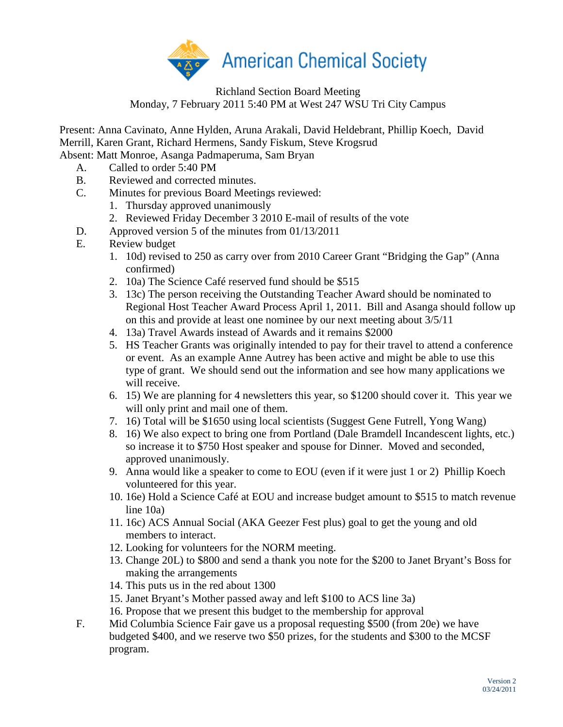

## Richland Section Board Meeting Monday, 7 February 2011 5:40 PM at West 247 WSU Tri City Campus

Present: Anna Cavinato, Anne Hylden, Aruna Arakali, David Heldebrant, Phillip Koech, David Merrill, Karen Grant, Richard Hermens, Sandy Fiskum, Steve Krogsrud Absent: Matt Monroe, Asanga Padmaperuma, Sam Bryan

- A. Called to order 5:40 PM
- B. Reviewed and corrected minutes.
- C. Minutes for previous Board Meetings reviewed:
	- 1. Thursday approved unanimously
	- 2. Reviewed Friday December 3 2010 E-mail of results of the vote
- D. Approved version 5 of the minutes from 01/13/2011
- E. Review budget
	- 1. 10d) revised to 250 as carry over from 2010 Career Grant "Bridging the Gap" (Anna confirmed)
	- 2. 10a) The Science Café reserved fund should be \$515
	- 3. 13c) The person receiving the Outstanding Teacher Award should be nominated to Regional Host Teacher Award Process April 1, 2011. Bill and Asanga should follow up on this and provide at least one nominee by our next meeting about 3/5/11
	- 4. 13a) Travel Awards instead of Awards and it remains \$2000
	- 5. HS Teacher Grants was originally intended to pay for their travel to attend a conference or event. As an example Anne Autrey has been active and might be able to use this type of grant. We should send out the information and see how many applications we will receive.
	- 6. 15) We are planning for 4 newsletters this year, so \$1200 should cover it. This year we will only print and mail one of them.
	- 7. 16) Total will be \$1650 using local scientists (Suggest Gene Futrell, Yong Wang)
	- 8. 16) We also expect to bring one from Portland (Dale Bramdell Incandescent lights, etc.) so increase it to \$750 Host speaker and spouse for Dinner. Moved and seconded, approved unanimously.
	- 9. Anna would like a speaker to come to EOU (even if it were just 1 or 2) Phillip Koech volunteered for this year.
	- 10. 16e) Hold a Science Café at EOU and increase budget amount to \$515 to match revenue line 10a)
	- 11. 16c) ACS Annual Social (AKA Geezer Fest plus) goal to get the young and old members to interact.
	- 12. Looking for volunteers for the NORM meeting.
	- 13. Change 20L) to \$800 and send a thank you note for the \$200 to Janet Bryant's Boss for making the arrangements
	- 14. This puts us in the red about 1300
	- 15. Janet Bryant's Mother passed away and left \$100 to ACS line 3a)
	- 16. Propose that we present this budget to the membership for approval
- F. Mid Columbia Science Fair gave us a proposal requesting \$500 (from 20e) we have budgeted \$400, and we reserve two \$50 prizes, for the students and \$300 to the MCSF program.